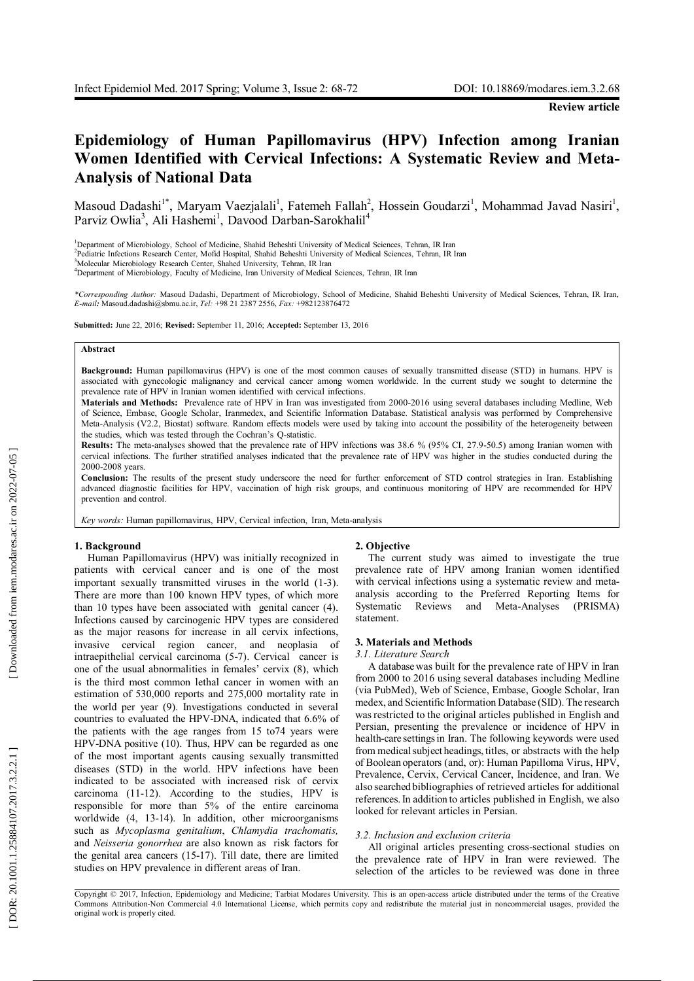# Epidemiology of Human Papillomavirus (HPV) Infection among Iranian Women Identified with Cervical Infections: A Systematic Review and Meta-**Analysis of National Data**

Masoud Dadashi<sup>1\*</sup>, Maryam Vaezjalali<sup>1</sup>, Fatemeh Fallah<sup>2</sup>, Hossein Goudarzi<sup>1</sup>, Mohammad Javad Nasiri<sup>1</sup>, Parviz Owlia<sup>3</sup>, Ali Hashemi<sup>1</sup>, Davood Darban-Sarokhalil<sup>4</sup>

<sup>1</sup>Department of Microbiology, School of Medicine, Shahid Beheshti University of Medical Sciences, Tehran, IR Iran

<sup>2</sup>Pediatric Infections Research Center, Mofid Hospital, Shahid Beheshti University of Medical Sciences, Tehran, IR Iran

<sup>3</sup>Molecular Microbiology Research Center, Shahed University, Tehran, IR Iran

<sup>4</sup>Department of Microbiology, Faculty of Medicine, Iran University of Medical Sciences, Tehran, IR Iran

\*Corresponding Author: Masoud Dadashi, Department of Microbiology, School of Medicine, Shahid Beheshti University of Medical Sciences, Tehran, IR Iran, E-mail: Masoud.dadashi@sbmu.ac.ir, Tel: +98 21 2387 2556, Fax: +982123876472

Submitted: June 22, 2016; Revised: September 11, 2016; Accepted: September 13, 2016

### Abstract

Background: Human papillomavirus (HPV) is one of the most common causes of sexually transmitted disease (STD) in humans. HPV is associated with gynecologic malignancy and cervical cancer among women worldwide. In the current study we sought to determine the prevalence rate of HPV in Iranian women identified with cervical infections.

Materials and Methods: Prevalence rate of HPV in Iran was investigated from 2000-2016 using several databases including Medline, Web of Science, Embase, Google Scholar, Iranmedex, and Scientific Information Database. Statistical analysis was performed by Comprehensive Meta-Analysis (V2.2, Biostat) software. Random effects models were used by taking into account the possibility of the heterogeneity between the studies, which was tested through the Cochran's Q-statistic.

Results: The meta-analyses showed that the prevalence rate of HPV infections was 38.6 % (95% CI, 27.9-50.5) among Iranian women with cervical infections. The further stratified analyses indicated that the prevalence rate of HPV was higher in the studies conducted during the 2000-2008 years.

Conclusion: The results of the present study underscore the need for further enforcement of STD control strategies in Iran. Establishing advanced diagnostic facilities for HPV, vaccination of high risk groups, and continuous monitoring of HPV are recommended for HPV prevention and control.

Key words: Human papillomavirus, HPV, Cervical infection, Iran, Meta-analysis

### 1. Background

Human Papillomavirus (HPV) was initially recognized in patients with cervical cancer and is one of the most important sexually transmitted viruses in the world (1-3). There are more than 100 known HPV types, of which more than 10 types have been associated with genital cancer (4). Infections caused by carcinogenic HPV types are considered as the major reasons for increase in all cervix infections, invasive cervical region cancer, and neoplasia of intraepithelial cervical carcinoma (5-7). Cervical cancer is one of the usual abnormalities in females' cervix (8), which is the third most common lethal cancer in women with an estimation of 530,000 reports and 275,000 mortality rate in the world per year (9). Investigations conducted in several countries to evaluated the HPV-DNA, indicated that 6.6% of the patients with the age ranges from 15 to74 years were HPV-DNA positive (10). Thus, HPV can be regarded as one of the most important agents causing sexually transmitted diseases (STD) in the world. HPV infections have been indicated to be associated with increased risk of cervix carcinoma (11-12). According to the studies, HPV is responsible for more than 5% of the entire carcinoma worldwide (4, 13-14). In addition, other microorganisms such as Mycoplasma genitalium, Chlamydia trachomatis, and Neisseria gonorrhea are also known as risk factors for the genital area cancers (15-17). Till date, there are limited studies on HPV prevalence in different areas of Iran.

#### 2. Objective

The current study was aimed to investigate the true prevalence rate of HPV among Iranian women identified with cervical infections using a systematic review and metaanalysis according to the Preferred Reporting Items for Systematic Reviews and Meta-Analyses (PRISMA) statement.

### 3. Materials and Methods

### 3.1. Literature Search

A database was built for the prevalence rate of HPV in Iran from 2000 to 2016 using several databases including Medline (via PubMed), Web of Science, Embase, Google Scholar, Iran medex, and Scientific Information Database (SID). The research was restricted to the original articles published in English and Persian, presenting the prevalence or incidence of HPV in health-care settings in Iran. The following keywords were used from medical subject headings, titles, or abstracts with the help of Boolean operators (and, or): Human Papilloma Virus, HPV, Prevalence, Cervix, Cervical Cancer, Incidence, and Iran. We also searched bibliographies of retrieved articles for additional references. In addition to articles published in English, we also looked for relevant articles in Persian.

### 3.2. Inclusion and exclusion criteria

All original articles presenting cross-sectional studies on the prevalence rate of HPV in Iran were reviewed. The selection of the articles to be reviewed was done in three

Copyright © 2017, Infection, Epidemiology and Medicine; Tarbiat Modares University. This is an open-access article distributed under the terms of the Creative Commons Attribution-Non Commercial 4.0 International License, which permits copy and redistribute the material just in noncommercial usages, provided the original work is properly cited.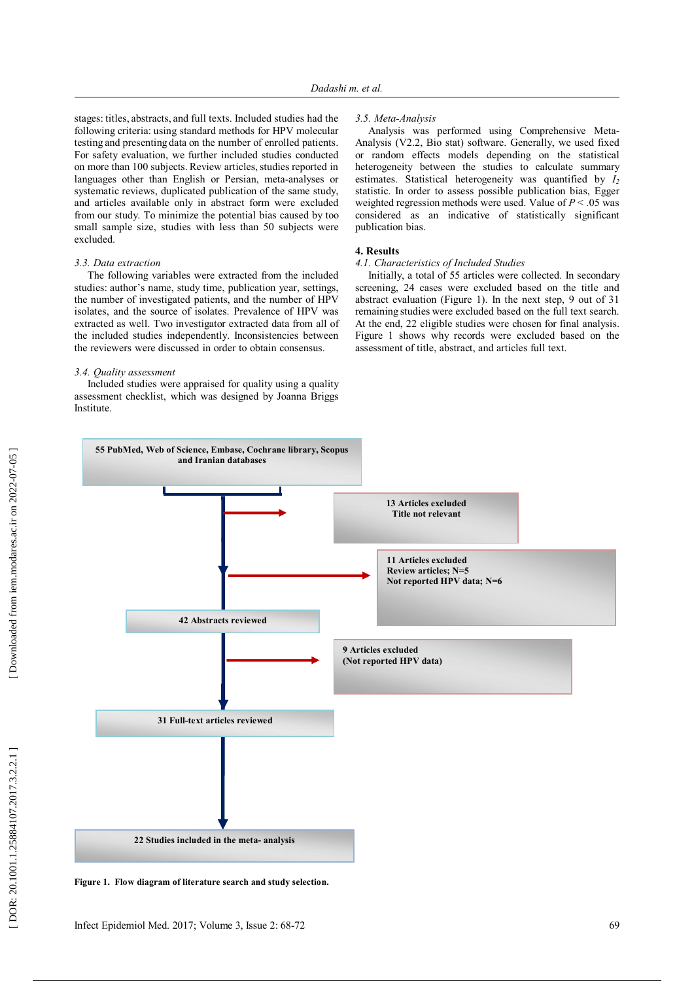stages: titles, abstracts, and full texts. Included studies had the following criteria: using standard methods for HPV molecular testing and presenting data on the number of enrolled patients. For safety evaluation, we further included studies conducted on more than 100 subjects. Review articles, studies reported in languages other than English or Persian, meta-analyses or systematic reviews, duplicated publication of the same study, and articles available only in abstract form were excluded from our study. To minimize the potential bias caused by too small sample size, studies with less than 50 subjects were excluded.

## 3.3. Data extraction

The following variables were extracted from the included studies: author's name, study time, publication year, settings, the number of investigated patients, and the number of HPV isolates, and the source of isolates. Prevalence of HPV was extracted as well. Two investigator extracted data from all of the included studies independently. Inconsistencies between the reviewers were discussed in order to obtain consensus.

### 3.4. Quality assessment

Included studies were appraised for quality using a quality assessment checklist, which was designed by Joanna Briggs Institute.

### 3.5. Meta-Analysis

Analysis was performed using Comprehensive Meta-Analysis (V2.2, Bio stat) software. Generally, we used fixed or random effects models depending on the statistical heterogeneity between the studies to calculate summary estimates. Statistical heterogeneity was quantified by  $I_2$ statistic. In order to assess possible publication bias, Egger weighted regression methods were used. Value of  $P < .05$  was considered as an indicative of statistically significant publication bias.

# 4. Results

# 4.1. Characteristics of Included Studies

Initially, a total of 55 articles were collected. In secondary screening, 24 cases were excluded based on the title and abstract evaluation (Figure 1). In the next step, 9 out of 31 remaining studies were excluded based on the full text search. At the end, 22 eligible studies were chosen for final analysis. Figure 1 shows why records were excluded based on the assessment of title, abstract, and articles full text.



Figure 1. Flow diagram of literature search and study selection.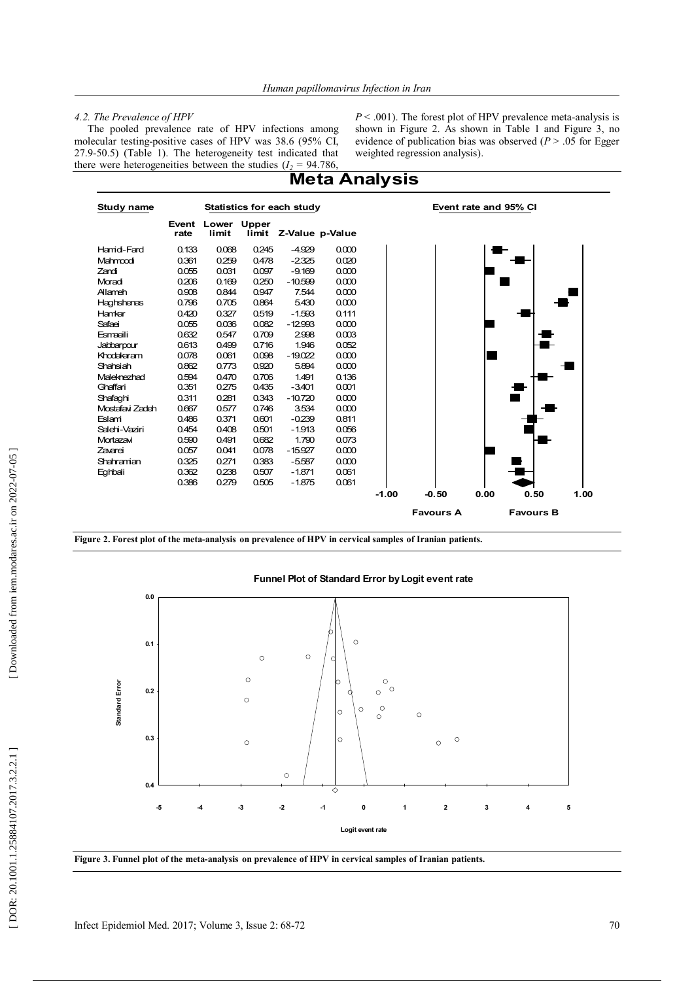## *4.2. The Prevalence of HPV*

The pooled prevalence rate of HPV infections among molecular testing-positive cases of HPV was 38.6 (95% CI,  $27.9-50.5$ ) (Table 1). The heterogeneity test indicated that there were heterogeneities between the studies  $(I_2 = 94.786,$   $P < .001$ ). The forest plot of HPV prevalence meta-analysis is shown in Figure 2. As shown in Table 1 and Figure 3, no evidence of publication bias was observed  $(P > 0.05$  for Egger weighted regression analysis).



**Figure 2. Forest plot of the meta-analysis on prevalence of HPV in cervical samples of Iranian patients.** 



**0**

**Logit event rate**

**1**

**2**

**3**

**4**

**5**

# **Funnel Plot of Standard Error by Logit event rate**

ᄌ



**-5 -4 -3 -2 -1**

**0.4**

**Standard Error**

Standard Error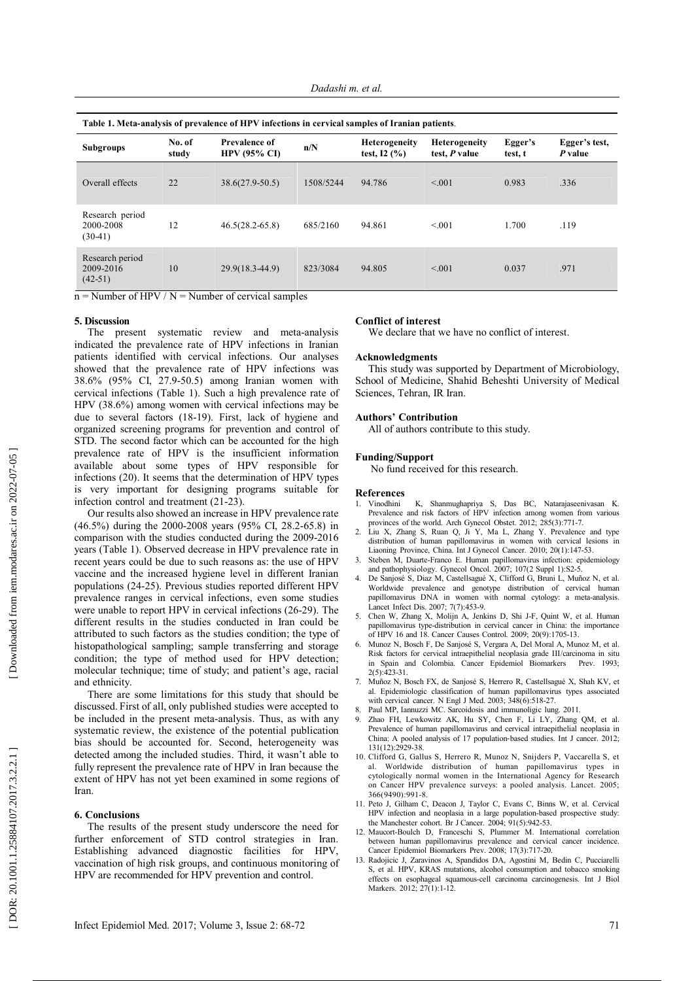| Table 1. Meta-analysis of prevalence of HPV infections in cervical samples of Iranian patients. |                 |                                             |           |                                       |                                       |                    |                          |
|-------------------------------------------------------------------------------------------------|-----------------|---------------------------------------------|-----------|---------------------------------------|---------------------------------------|--------------------|--------------------------|
| <b>Subgroups</b>                                                                                | No. of<br>study | <b>Prevalence of</b><br><b>HPV (95% CI)</b> | n/N       | <b>Heterogeneity</b><br>test, $I2(%)$ | <b>Heterogeneity</b><br>test, P value | Egger's<br>test, t | Egger's test,<br>P value |
| Overall effects                                                                                 | 22              | $38.6(27.9-50.5)$                           | 1508/5244 | 94.786                                | < 0.01                                | 0.983              | .336                     |
| Research period<br>2000-2008<br>$(30-41)$                                                       | 12              | $46.5(28.2 - 65.8)$                         | 685/2160  | 94.861                                | < 0.01                                | 1.700              | .119                     |
| Research period<br>2009-2016<br>$(42-51)$                                                       | 10              | 29.9(18.3-44.9)                             | 823/3084  | 94.805                                | < 0.01                                | 0.037              | .971                     |

 $n =$ Number of HPV / N = Number of cervical samples

### 5. Discussion

The present systematic review and meta-analysis indicated the prevalence rate of HPV infections in Iranian patients identified with cervical infections. Our analyses showed that the prevalence rate of HPV infections was 38.6% (95% CI, 27.9-50.5) among Iranian women with cervical infections (Table 1). Such a high prevalence rate of HPV (38.6%) among women with cervical infections may be due to several factors (18-19). First, lack of hygiene and organized screening programs for prevention and control of STD. The second factor which can be accounted for the high prevalence rate of HPV is the insufficient information available about some types of HPV responsible for infections (20). It seems that the determination of HPV types is very important for designing programs suitable for infection control and treatment (21-23).

Our results also showed an increase in HPV prevalence rate (46.5%) during the 2000-2008 years (95% CI, 28.2-65.8) in comparison with the studies conducted during the 2009-2016 years (Table 1). Observed decrease in HPV prevalence rate in recent years could be due to such reasons as: the use of HPV vaccine and the increased hygiene level in different Iranian populations (24-25). Previous studies reported different HPV prevalence ranges in cervical infections, even some studies were unable to report HPV in cervical infections (26-29). The different results in the studies conducted in Iran could be attributed to such factors as the studies condition; the type of histopathological sampling; sample transferring and storage condition; the type of method used for HPV detection; molecular technique; time of study; and patient's age, racial and ethnicity.

There are some limitations for this study that should be discussed. First of all, only published studies were accepted to be included in the present meta-analysis. Thus, as with any systematic review, the existence of the potential publication bias should be accounted for. Second, heterogeneity was detected among the included studies. Third, it wasn't able to fully represent the prevalence rate of HPV in Iran because the extent of HPV has not yet been examined in some regions of **Iran** 

# 6. Conclusions

The results of the present study underscore the need for further enforcement of STD control strategies in Iran. Establishing advanced diagnostic facilities for HPV, vaccination of high risk groups, and continuous monitoring of HPV are recommended for HPV prevention and control.

# **Conflict of interest**

We declare that we have no conflict of interest.

### **Acknowledgments**

This study was supported by Department of Microbiology, School of Medicine, Shahid Beheshti University of Medical Sciences, Tehran, IR Iran.

### **Authors' Contribution**

All of authors contribute to this study.

### **Funding/Support**

No fund received for this research.

#### **References**

- Vinodhini K, Shanmughapriya S, Das BC, Natarajaseenivasan K.<br>Prevalence and risk factors of HPV infection among women from various 1. provinces of the world. Arch Gynecol Obstet. 2012; 285(3):771-7.
- $\mathcal{D}$ Liu X, Zhang S, Ruan Q, Ji Y, Ma L, Zhang Y. Prevalence and type distribution of human papillomavirus in women with cervical lesions in Liaoning Province, China. Int J Gynecol Cancer. 2010; 20(1):147-53.
- Steben M, Duarte-Franco E. Human papillomavirus infection: epidemiology  $\mathcal{L}$ and pathophysiology. Gynecol Oncol. 2007; 107(2 Suppl 1):S2-5.
- De Sanjosé S, Diaz M, Castellsagué X, Clifford G, Bruni L, Muñoz N, et al.  $\overline{4}$ . Worldwide prevalence and genotype distribution of cervical human papillomavirus DNA in women with normal cytology: a meta-analysis. Lancet Infect Dis. 2007; 7(7):453-9.
- $\overline{5}$ Chen W, Zhang X, Molijn A, Jenkins D, Shi J-F, Quint W, et al. Human papillomavirus type-distribution in cervical cancer in China: the importance of HPV 16 and 18. Cancer Causes Control. 2009; 20(9):1705-13.
- Munoz N, Bosch F, De Sanjosé S, Vergara A, Del Moral A, Munoz M, et al. 6. Risk factors for cervical intraepithelial neoplasia grade III/carcinoma in situ in Spain and Colombia. Cancer Epidemiol Biomarkers Prev. 1993;  $2(5):423-31$ .
- 7. Muñoz N, Bosch FX, de Sanjosé S, Herrero R, Castellsagué X, Shah KV, et al. Epidemiologic classification of human papillomavirus types associated with cervical cancer. N Engl J Med. 2003; 348(6):518-27.
- 8. Paul MP, Iannuzzi MC. Sarcoidosis and immunoligic lung. 2011.
- 9. Zhao FH, Lewkowitz AK, Hu SY, Chen F, Li LY, Zhang QM, et al. Prevalence of human papillomavirus and cervical intraepithelial neoplasia in China: A pooled analysis of 17 population-based studies. Int J cancer. 2012; 131(12):2929-38.
- 10. Clifford G, Gallus S, Herrero R, Munoz N, Snijders P, Vaccarella S, et al. Worldwide distribution of human papillomavirus types in cytologically normal women in the International Agency for Research on Cancer HPV prevalence surveys: a pooled analysis. Lancet. 2005; 366(9490):991-8.
- 11. Peto J, Gilham C, Deacon J, Taylor C, Evans C, Binns W, et al. Cervical HPV infection and neoplasia in a large population-based prospective study: the Manchester cohort. Br J Cancer. 2004; 91(5):942-53.
- 12. Maucort-Boulch D, Franceschi S, Plummer M. International correlation between human papillomavirus prevalence and cervical cancer incidence. Cancer Epidemiol Biomarkers Prev. 2008; 17(3):717-20.
- 13. Radojicic J, Zaravinos A, Spandidos DA, Agostini M, Bedin C, Pucciarelli S, et al. HPV, KRAS mutations, alcohol consumption and tobacco smoking effects on esophageal squamous-cell carcinoma carcinogenesis. Int J Biol Markers. 2012: 27(1):1-12.